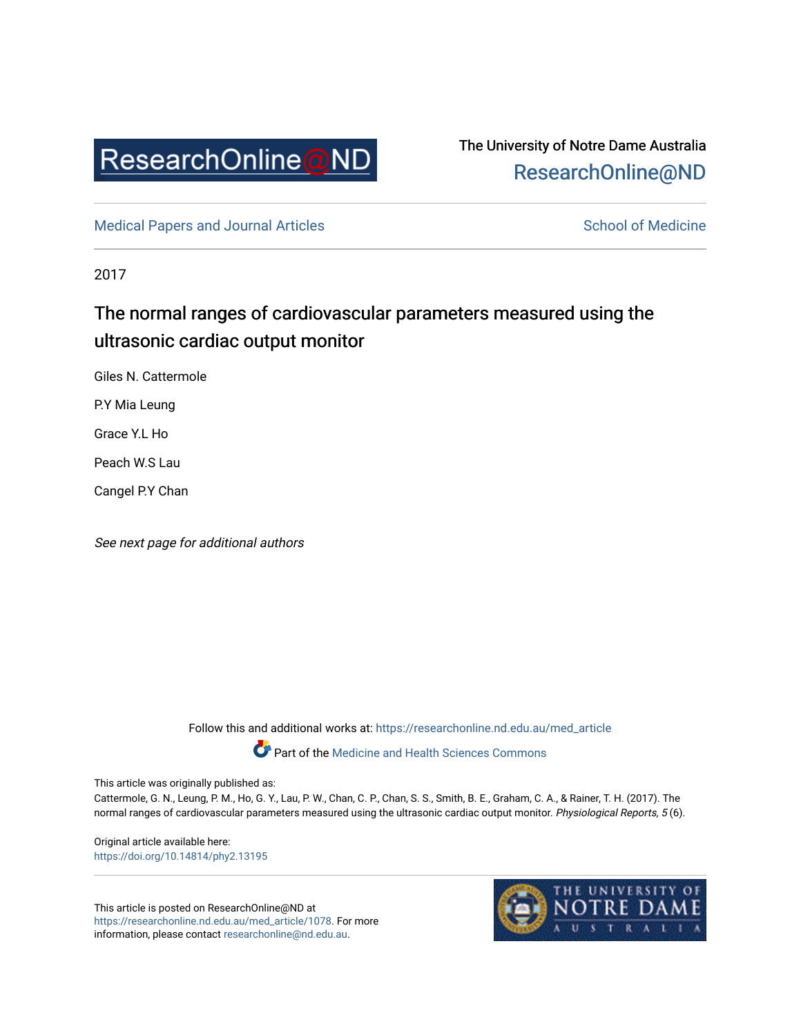

# The University of Notre Dame Australia [ResearchOnline@ND](https://researchonline.nd.edu.au/)

[Medical Papers and Journal Articles](https://researchonline.nd.edu.au/med_article) and School of Medicine

2017

# The normal ranges of cardiovascular parameters measured using the ultrasonic cardiac output monitor

Giles N. Cattermole

P.Y Mia Leung

Grace Y.L Ho

Peach W.S Lau

Cangel P.Y Chan

See next page for additional authors

Follow this and additional works at: [https://researchonline.nd.edu.au/med\\_article](https://researchonline.nd.edu.au/med_article?utm_source=researchonline.nd.edu.au%2Fmed_article%2F1078&utm_medium=PDF&utm_campaign=PDFCoverPages) 

**Part of the [Medicine and Health Sciences Commons](http://network.bepress.com/hgg/discipline/648?utm_source=researchonline.nd.edu.au%2Fmed_article%2F1078&utm_medium=PDF&utm_campaign=PDFCoverPages)** 

This article was originally published as:

Cattermole, G. N., Leung, P. M., Ho, G. Y., Lau, P. W., Chan, C. P., Chan, S. S., Smith, B. E., Graham, C. A., & Rainer, T. H. (2017). The normal ranges of cardiovascular parameters measured using the ultrasonic cardiac output monitor. Physiological Reports, 5 (6).

Original article available here: <https://doi.org/10.14814/phy2.13195>

This article is posted on ResearchOnline@ND at [https://researchonline.nd.edu.au/med\\_article/1078.](https://researchonline.nd.edu.au/med_article/1078) For more information, please contact [researchonline@nd.edu.au.](mailto:researchonline@nd.edu.au)

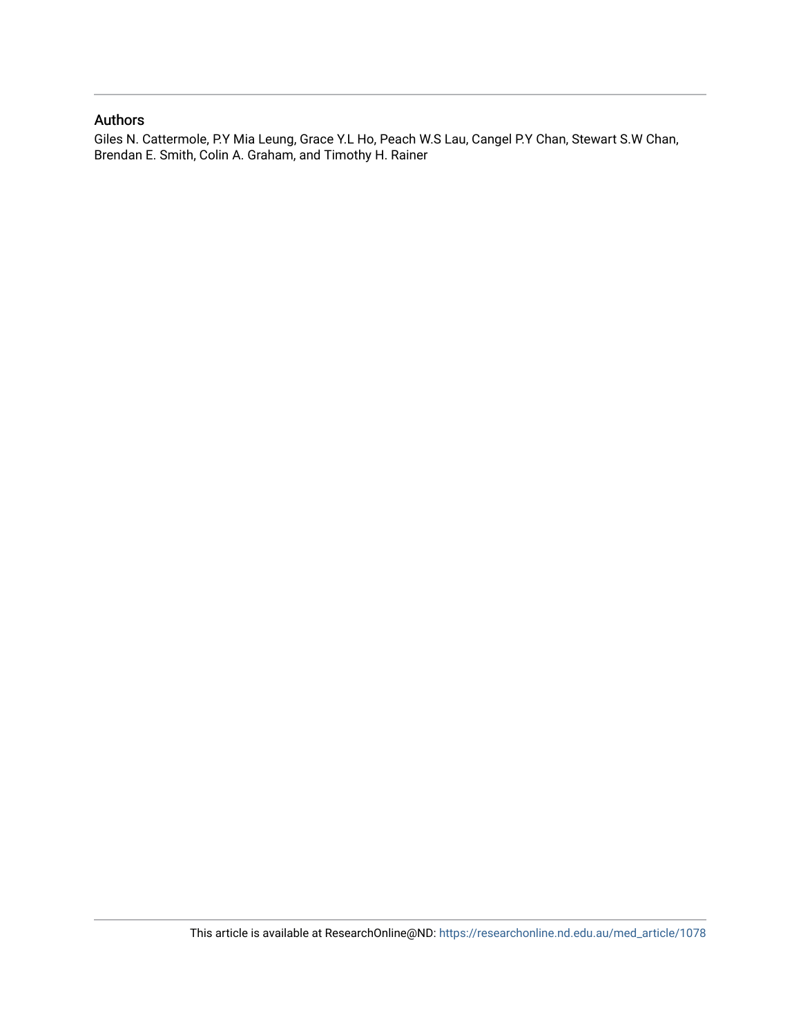## Authors

Giles N. Cattermole, P.Y Mia Leung, Grace Y.L Ho, Peach W.S Lau, Cangel P.Y Chan, Stewart S.W Chan, Brendan E. Smith, Colin A. Graham, and Timothy H. Rainer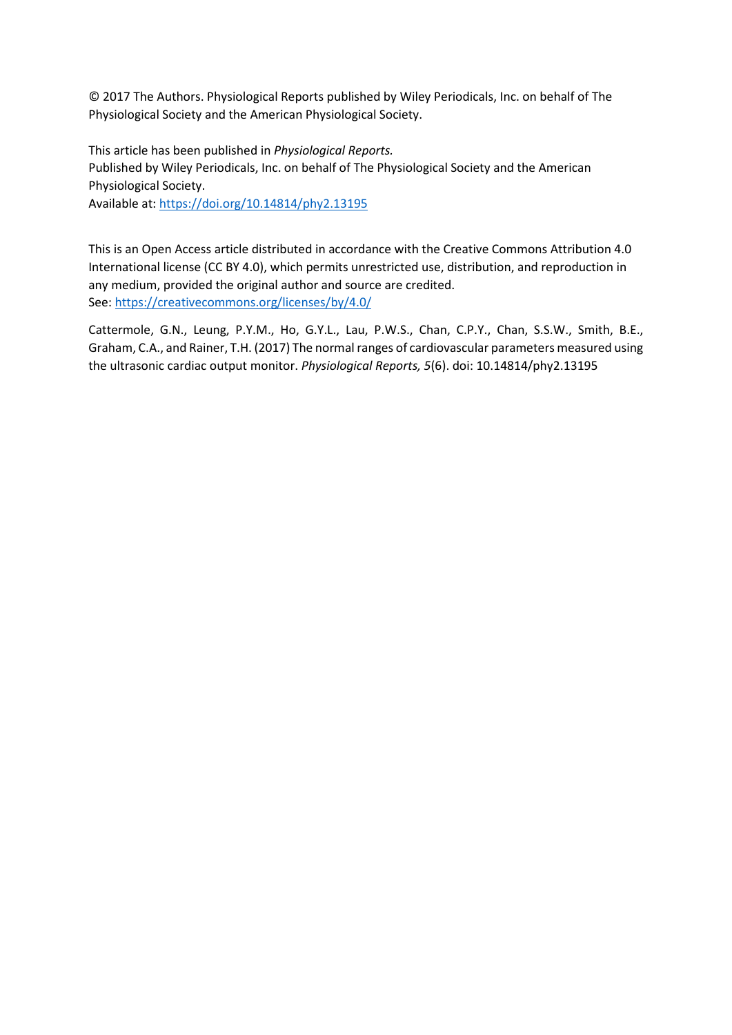© 2017 The Authors. Physiological Reports published by Wiley Periodicals, Inc. on behalf of The Physiological Society and the American Physiological Society.

This article has been published in *Physiological Reports.* Published by Wiley Periodicals, Inc. on behalf of The Physiological Society and the American Physiological Society.

Available at: https://doi.org/10.14814/phy2.13195

This is an Open Access article distributed in accordance with the Creative Commons Attribution 4.0 International license (CC BY 4.0), which permits unrestricted use, distribution, and reproduction in any medium, provided the original author and source are credited. See[: https://creativecommons.org/licenses/by/4.0/](https://creativecommons.org/licenses/by/4.0/) 

Cattermole, G.N., Leung, P.Y.M., Ho, G.Y.L., Lau, P.W.S., Chan, C.P.Y., Chan, S.S.W., Smith, B.E., Graham, C.A., and Rainer, T.H. (2017) The normal ranges of cardiovascular parameters measured using the ultrasonic cardiac output monitor. *Physiological Reports, 5*(6). doi: 10.14814/phy2.13195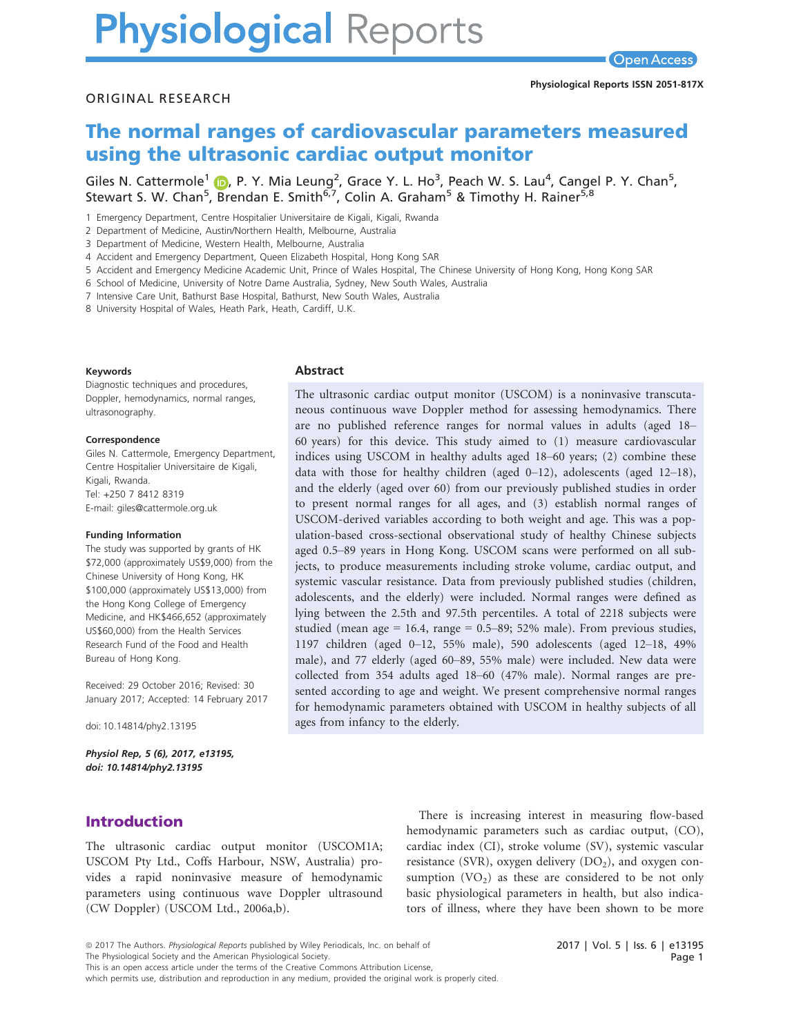# **Physiological Reports**

#### ORIGINAL RESEARCH

# The normal ranges of cardiovascular parameters measured using the ultrasonic cardiac output monitor

Giles N. Cattermole<sup>[1](http://orcid.org/0000-0002-8910-2307)</sup> (D, P. Y. Mia Leung<sup>2</sup>, Grace Y. L. Ho<sup>3</sup>, Peach W. S. Lau<sup>4</sup>, Cangel P. Y. Chan<sup>5</sup>, Stewart S. W. Chan<sup>5</sup>, Brendan E. Smith<sup>6,7</sup>, Colin A. Graham<sup>5</sup> & Timothy H. Rainer<sup>5,8</sup>

1 Emergency Department, Centre Hospitalier Universitaire de Kigali, Kigali, Rwanda

2 Department of Medicine, Austin/Northern Health, Melbourne, Australia

3 Department of Medicine, Western Health, Melbourne, Australia

4 Accident and Emergency Department, Queen Elizabeth Hospital, Hong Kong SAR

5 Accident and Emergency Medicine Academic Unit, Prince of Wales Hospital, The Chinese University of Hong Kong, Hong Kong SAR

6 School of Medicine, University of Notre Dame Australia, Sydney, New South Wales, Australia

7 Intensive Care Unit, Bathurst Base Hospital, Bathurst, New South Wales, Australia

8 University Hospital of Wales, Heath Park, Heath, Cardiff, U.K.

#### Keywords

Diagnostic techniques and procedures, Doppler, hemodynamics, normal ranges, ultrasonography.

#### Correspondence

Giles N. Cattermole, Emergency Department, Centre Hospitalier Universitaire de Kigali, Kigali, Rwanda. Tel: +250 7 8412 8319 E-mail: giles@cattermole.org.uk

#### Funding Information

The study was supported by grants of HK \$72,000 (approximately US\$9,000) from the Chinese University of Hong Kong, HK \$100,000 (approximately US\$13,000) from the Hong Kong College of Emergency Medicine, and HK\$466,652 (approximately US\$60,000) from the Health Services Research Fund of the Food and Health Bureau of Hong Kong.

Received: 29 October 2016; Revised: 30 January 2017; Accepted: 14 February 2017

doi: 10.14814/phy2.13195

Physiol Rep, 5 (6), 2017, e13195, doi: [10.14814/phy2.13195](info:doi/10.14814/phy2.13195)

## Introduction

The ultrasonic cardiac output monitor (USCOM1A; USCOM Pty Ltd., Coffs Harbour, NSW, Australia) provides a rapid noninvasive measure of hemodynamic parameters using continuous wave Doppler ultrasound (CW Doppler) (USCOM Ltd., 2006a,b).

**Abstract** 

The ultrasonic cardiac output monitor (USCOM) is a noninvasive transcutaneous continuous wave Doppler method for assessing hemodynamics. There are no published reference ranges for normal values in adults (aged 18– 60 years) for this device. This study aimed to (1) measure cardiovascular indices using USCOM in healthy adults aged 18–60 years; (2) combine these data with those for healthy children (aged  $0-12$ ), adolescents (aged  $12-18$ ), and the elderly (aged over 60) from our previously published studies in order to present normal ranges for all ages, and (3) establish normal ranges of USCOM-derived variables according to both weight and age. This was a population-based cross-sectional observational study of healthy Chinese subjects aged 0.5–89 years in Hong Kong. USCOM scans were performed on all subjects, to produce measurements including stroke volume, cardiac output, and systemic vascular resistance. Data from previously published studies (children, adolescents, and the elderly) were included. Normal ranges were defined as lying between the 2.5th and 97.5th percentiles. A total of 2218 subjects were studied (mean age = 16.4, range = 0.5–89; 52% male). From previous studies, 1197 children (aged 0–12, 55% male), 590 adolescents (aged 12–18, 49% male), and 77 elderly (aged 60–89, 55% male) were included. New data were collected from 354 adults aged 18–60 (47% male). Normal ranges are presented according to age and weight. We present comprehensive normal ranges for hemodynamic parameters obtained with USCOM in healthy subjects of all ages from infancy to the elderly.

> There is increasing interest in measuring flow-based hemodynamic parameters such as cardiac output, (CO), cardiac index (CI), stroke volume (SV), systemic vascular resistance (SVR), oxygen delivery  $(DO<sub>2</sub>)$ , and oxygen consumption  $(VO_2)$  as these are considered to be not only basic physiological parameters in health, but also indicators of illness, where they have been shown to be more

This is an open access article under the terms of the [Creative Commons Attribution](http://creativecommons.org/licenses/by/4.0/) License,

which permits use, distribution and reproduction in any medium, provided the original work is properly cited.

<sup>ª</sup> 2017 The Authors. Physiological Reports published by Wiley Periodicals, Inc. on behalf of

The Physiological Society and the American Physiological Society.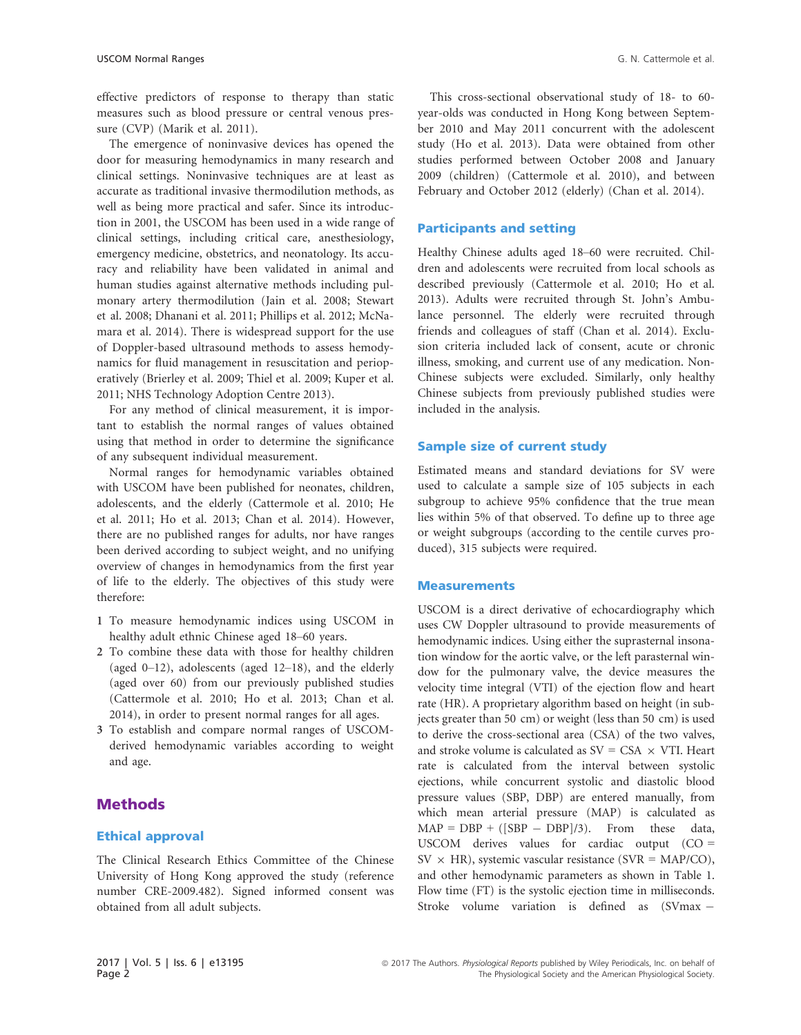effective predictors of response to therapy than static measures such as blood pressure or central venous pressure (CVP) (Marik et al. 2011).

The emergence of noninvasive devices has opened the door for measuring hemodynamics in many research and clinical settings. Noninvasive techniques are at least as accurate as traditional invasive thermodilution methods, as well as being more practical and safer. Since its introduction in 2001, the USCOM has been used in a wide range of clinical settings, including critical care, anesthesiology, emergency medicine, obstetrics, and neonatology. Its accuracy and reliability have been validated in animal and human studies against alternative methods including pulmonary artery thermodilution (Jain et al. 2008; Stewart et al. 2008; Dhanani et al. 2011; Phillips et al. 2012; McNamara et al. 2014). There is widespread support for the use of Doppler-based ultrasound methods to assess hemodynamics for fluid management in resuscitation and perioperatively (Brierley et al. 2009; Thiel et al. 2009; Kuper et al. 2011; NHS Technology Adoption Centre 2013).

For any method of clinical measurement, it is important to establish the normal ranges of values obtained using that method in order to determine the significance of any subsequent individual measurement.

Normal ranges for hemodynamic variables obtained with USCOM have been published for neonates, children, adolescents, and the elderly (Cattermole et al. 2010; He et al. 2011; Ho et al. 2013; Chan et al. 2014). However, there are no published ranges for adults, nor have ranges been derived according to subject weight, and no unifying overview of changes in hemodynamics from the first year of life to the elderly. The objectives of this study were therefore:

- 1 To measure hemodynamic indices using USCOM in healthy adult ethnic Chinese aged 18–60 years.
- 2 To combine these data with those for healthy children (aged 0–12), adolescents (aged 12–18), and the elderly (aged over 60) from our previously published studies (Cattermole et al. 2010; Ho et al. 2013; Chan et al. 2014), in order to present normal ranges for all ages.
- 3 To establish and compare normal ranges of USCOMderived hemodynamic variables according to weight and age.

### **Methods**

#### Ethical approval

The Clinical Research Ethics Committee of the Chinese University of Hong Kong approved the study (reference number CRE-2009.482). Signed informed consent was obtained from all adult subjects.

This cross-sectional observational study of 18- to 60 year-olds was conducted in Hong Kong between September 2010 and May 2011 concurrent with the adolescent study (Ho et al. 2013). Data were obtained from other studies performed between October 2008 and January 2009 (children) (Cattermole et al. 2010), and between February and October 2012 (elderly) (Chan et al. 2014).

#### Participants and setting

Healthy Chinese adults aged 18–60 were recruited. Children and adolescents were recruited from local schools as described previously (Cattermole et al. 2010; Ho et al. 2013). Adults were recruited through St. John's Ambulance personnel. The elderly were recruited through friends and colleagues of staff (Chan et al. 2014). Exclusion criteria included lack of consent, acute or chronic illness, smoking, and current use of any medication. Non-Chinese subjects were excluded. Similarly, only healthy Chinese subjects from previously published studies were included in the analysis.

#### Sample size of current study

Estimated means and standard deviations for SV were used to calculate a sample size of 105 subjects in each subgroup to achieve 95% confidence that the true mean lies within 5% of that observed. To define up to three age or weight subgroups (according to the centile curves produced), 315 subjects were required.

#### Measurements

USCOM is a direct derivative of echocardiography which uses CW Doppler ultrasound to provide measurements of hemodynamic indices. Using either the suprasternal insonation window for the aortic valve, or the left parasternal window for the pulmonary valve, the device measures the velocity time integral (VTI) of the ejection flow and heart rate (HR). A proprietary algorithm based on height (in subjects greater than 50 cm) or weight (less than 50 cm) is used to derive the cross-sectional area (CSA) of the two valves, and stroke volume is calculated as  $SV = CSA \times VTI$ . Heart rate is calculated from the interval between systolic ejections, while concurrent systolic and diastolic blood pressure values (SBP, DBP) are entered manually, from which mean arterial pressure (MAP) is calculated as  $MAP = DBP + ([SBP - DBP]/3)$ . From these data, USCOM derives values for cardiac output  $(CO =$  $SV \times HR$ ), systemic vascular resistance (SVR = MAP/CO), and other hemodynamic parameters as shown in Table 1. Flow time (FT) is the systolic ejection time in milliseconds. Stroke volume variation is defined as (SVmax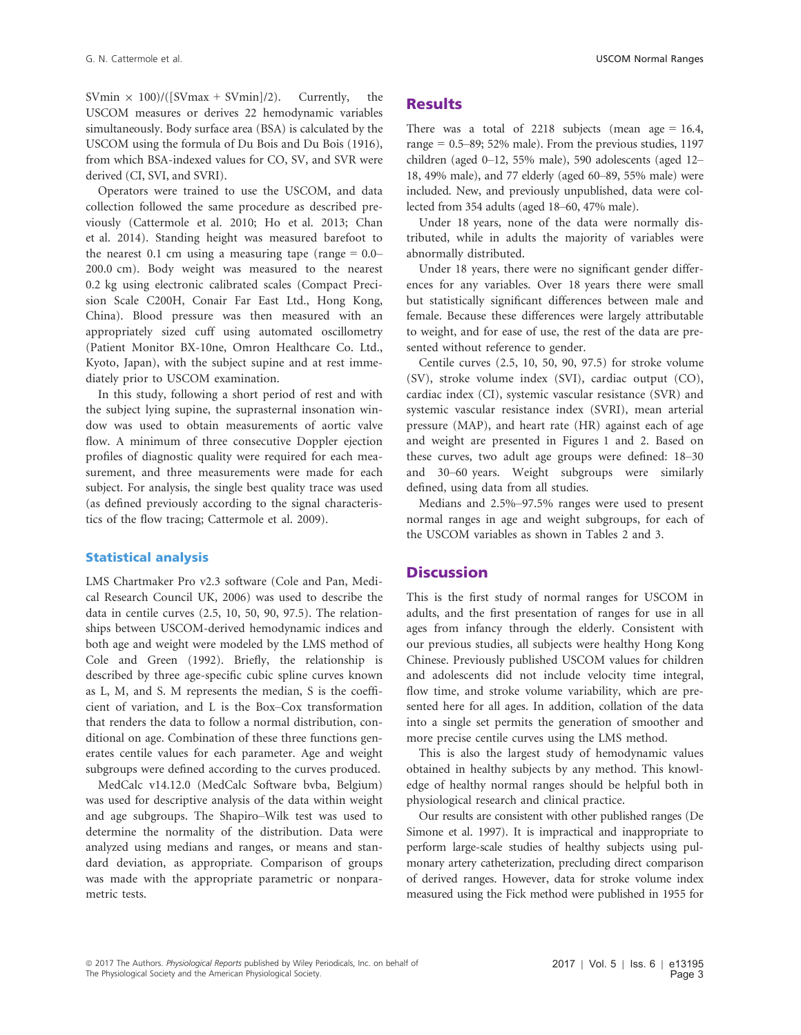SVmin  $\times$  100)/([SVmax + SVmin]/2). Currently, the USCOM measures or derives 22 hemodynamic variables simultaneously. Body surface area (BSA) is calculated by the USCOM using the formula of Du Bois and Du Bois (1916), from which BSA-indexed values for CO, SV, and SVR were derived (CI, SVI, and SVRI).

Operators were trained to use the USCOM, and data collection followed the same procedure as described previously (Cattermole et al. 2010; Ho et al. 2013; Chan et al. 2014). Standing height was measured barefoot to the nearest 0.1 cm using a measuring tape (range  $= 0.0-$ 200.0 cm). Body weight was measured to the nearest 0.2 kg using electronic calibrated scales (Compact Precision Scale C200H, Conair Far East Ltd., Hong Kong, China). Blood pressure was then measured with an appropriately sized cuff using automated oscillometry (Patient Monitor BX-10ne, Omron Healthcare Co. Ltd., Kyoto, Japan), with the subject supine and at rest immediately prior to USCOM examination.

In this study, following a short period of rest and with the subject lying supine, the suprasternal insonation window was used to obtain measurements of aortic valve flow. A minimum of three consecutive Doppler ejection profiles of diagnostic quality were required for each measurement, and three measurements were made for each subject. For analysis, the single best quality trace was used (as defined previously according to the signal characteristics of the flow tracing; Cattermole et al. 2009).

#### Statistical analysis

LMS Chartmaker Pro v2.3 software (Cole and Pan, Medical Research Council UK, 2006) was used to describe the data in centile curves (2.5, 10, 50, 90, 97.5). The relationships between USCOM-derived hemodynamic indices and both age and weight were modeled by the LMS method of Cole and Green (1992). Briefly, the relationship is described by three age-specific cubic spline curves known as L, M, and S. M represents the median, S is the coefficient of variation, and L is the Box–Cox transformation that renders the data to follow a normal distribution, conditional on age. Combination of these three functions generates centile values for each parameter. Age and weight subgroups were defined according to the curves produced.

MedCalc v14.12.0 (MedCalc Software bvba, Belgium) was used for descriptive analysis of the data within weight and age subgroups. The Shapiro–Wilk test was used to determine the normality of the distribution. Data were analyzed using medians and ranges, or means and standard deviation, as appropriate. Comparison of groups was made with the appropriate parametric or nonparametric tests.

#### **Results**

There was a total of 2218 subjects (mean age = 16.4, range =  $0.5-89$ ; 52% male). From the previous studies, 1197 children (aged 0–12, 55% male), 590 adolescents (aged 12– 18, 49% male), and 77 elderly (aged 60–89, 55% male) were included. New, and previously unpublished, data were collected from 354 adults (aged 18–60, 47% male).

Under 18 years, none of the data were normally distributed, while in adults the majority of variables were abnormally distributed.

Under 18 years, there were no significant gender differences for any variables. Over 18 years there were small but statistically significant differences between male and female. Because these differences were largely attributable to weight, and for ease of use, the rest of the data are presented without reference to gender.

Centile curves (2.5, 10, 50, 90, 97.5) for stroke volume (SV), stroke volume index (SVI), cardiac output (CO), cardiac index (CI), systemic vascular resistance (SVR) and systemic vascular resistance index (SVRI), mean arterial pressure (MAP), and heart rate (HR) against each of age and weight are presented in Figures 1 and 2. Based on these curves, two adult age groups were defined: 18–30 and 30–60 years. Weight subgroups were similarly defined, using data from all studies.

Medians and 2.5%–97.5% ranges were used to present normal ranges in age and weight subgroups, for each of the USCOM variables as shown in Tables 2 and 3.

#### **Discussion**

This is the first study of normal ranges for USCOM in adults, and the first presentation of ranges for use in all ages from infancy through the elderly. Consistent with our previous studies, all subjects were healthy Hong Kong Chinese. Previously published USCOM values for children and adolescents did not include velocity time integral, flow time, and stroke volume variability, which are presented here for all ages. In addition, collation of the data into a single set permits the generation of smoother and more precise centile curves using the LMS method.

This is also the largest study of hemodynamic values obtained in healthy subjects by any method. This knowledge of healthy normal ranges should be helpful both in physiological research and clinical practice.

Our results are consistent with other published ranges (De Simone et al. 1997). It is impractical and inappropriate to perform large-scale studies of healthy subjects using pulmonary artery catheterization, precluding direct comparison of derived ranges. However, data for stroke volume index measured using the Fick method were published in 1955 for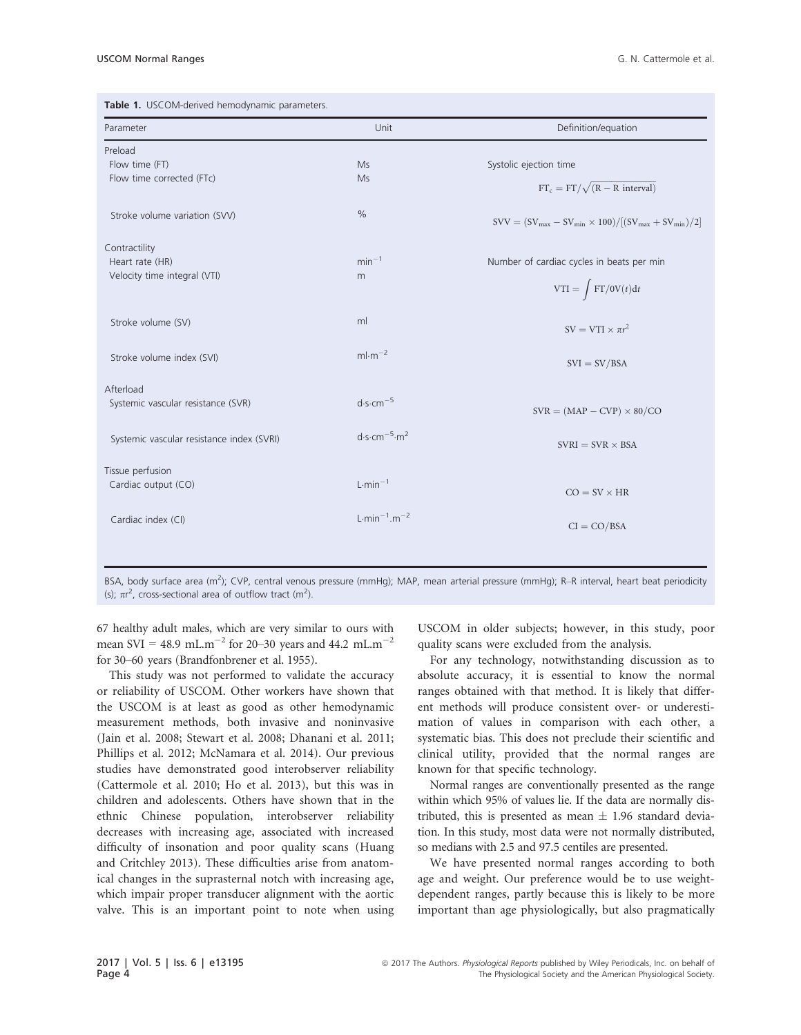| Parameter                                 | Unit                | Definition/equation                                                  |
|-------------------------------------------|---------------------|----------------------------------------------------------------------|
| Preload                                   |                     |                                                                      |
| Flow time (FT)                            | Ms                  | Systolic ejection time                                               |
| Flow time corrected (FTc)                 | Ms                  | $FT_c = FT/\sqrt{(R - R interval)}$                                  |
| Stroke volume variation (SVV)             | $\%$                | $SVV = (SV_{max} - SV_{min} \times 100) / [(SV_{max} + SV_{min})/2]$ |
| Contractility                             |                     |                                                                      |
| Heart rate (HR)                           | $min-1$             | Number of cardiac cycles in beats per min                            |
| Velocity time integral (VTI)              | m                   |                                                                      |
|                                           |                     | $VTI = \int FT/0V(t)dt$                                              |
| Stroke volume (SV)                        | ml                  | $SV = VTI \times \pi r^2$                                            |
|                                           |                     |                                                                      |
| Stroke volume index (SVI)                 | $ml·m-2$            | $SVI = SV/BSA$                                                       |
| Afterload                                 |                     |                                                                      |
| Systemic vascular resistance (SVR)        | $d·s·cm-5$          | $SVR = (MAP - CVP) \times 80/CO$                                     |
|                                           |                     |                                                                      |
| Systemic vascular resistance index (SVRI) | $d·s·cm-5·m2$       | $SVRI = SVR \times BSA$                                              |
| Tissue perfusion                          |                     |                                                                      |
| Cardiac output (CO)                       | $L \cdot min^{-1}$  |                                                                      |
|                                           |                     | $CO = SV \times HR$                                                  |
| Cardiac index (CI)                        | $L·min^{-1}.m^{-2}$ |                                                                      |
|                                           |                     | $CI = CO/BSA$                                                        |

BSA, body surface area (m<sup>2</sup>); CVP, central venous pressure (mmHg); MAP, mean arterial pressure (mmHg); R-R interval, heart beat periodicity (s);  $\pi r^2$ , cross-sectional area of outflow tract (m<sup>2</sup>).

67 healthy adult males, which are very similar to ours with mean SVI = 48.9 mL.m<sup>-2</sup> for 20-30 years and 44.2 mL.m<sup>-2</sup> for 30–60 years (Brandfonbrener et al. 1955).

This study was not performed to validate the accuracy or reliability of USCOM. Other workers have shown that the USCOM is at least as good as other hemodynamic measurement methods, both invasive and noninvasive (Jain et al. 2008; Stewart et al. 2008; Dhanani et al. 2011; Phillips et al. 2012; McNamara et al. 2014). Our previous studies have demonstrated good interobserver reliability (Cattermole et al. 2010; Ho et al. 2013), but this was in children and adolescents. Others have shown that in the ethnic Chinese population, interobserver reliability decreases with increasing age, associated with increased difficulty of insonation and poor quality scans (Huang and Critchley 2013). These difficulties arise from anatomical changes in the suprasternal notch with increasing age, which impair proper transducer alignment with the aortic valve. This is an important point to note when using

USCOM in older subjects; however, in this study, poor quality scans were excluded from the analysis.

For any technology, notwithstanding discussion as to absolute accuracy, it is essential to know the normal ranges obtained with that method. It is likely that different methods will produce consistent over- or underestimation of values in comparison with each other, a systematic bias. This does not preclude their scientific and clinical utility, provided that the normal ranges are known for that specific technology.

Normal ranges are conventionally presented as the range within which 95% of values lie. If the data are normally distributed, this is presented as mean  $\pm$  1.96 standard deviation. In this study, most data were not normally distributed, so medians with 2.5 and 97.5 centiles are presented.

We have presented normal ranges according to both age and weight. Our preference would be to use weightdependent ranges, partly because this is likely to be more important than age physiologically, but also pragmatically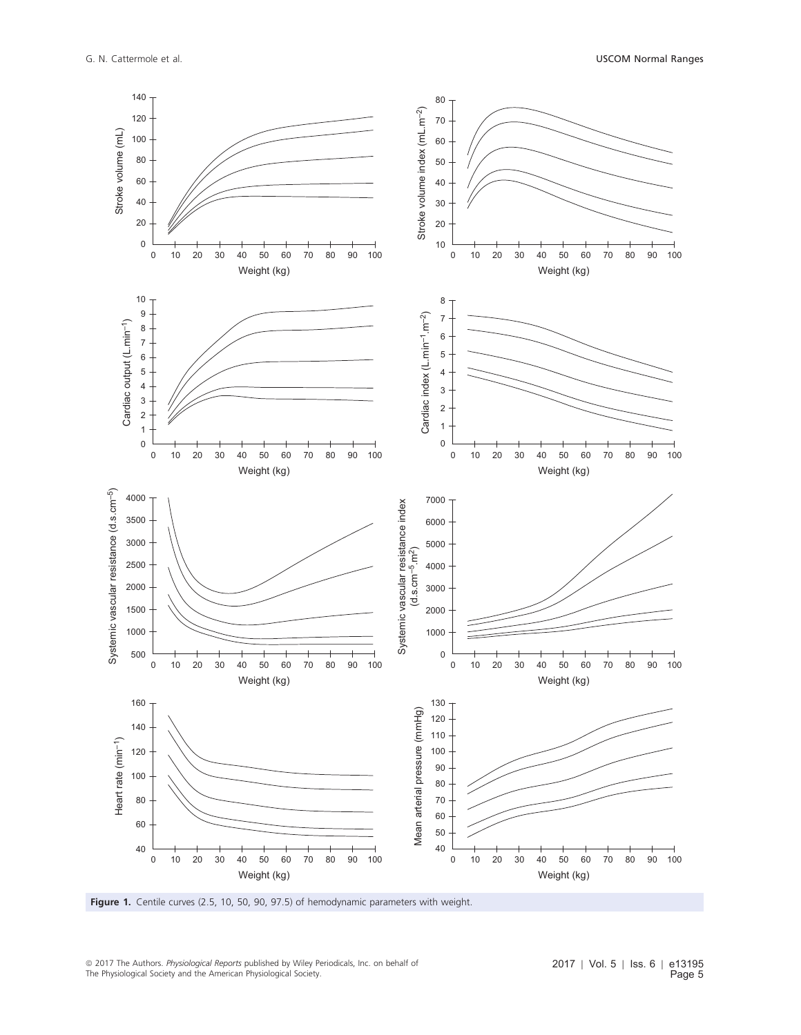

Figure 1. Centile curves (2.5, 10, 50, 90, 97.5) of hemodynamic parameters with weight.

<sup>ª</sup> 2017 The Authors. Physiological Reports published by Wiley Periodicals, Inc. on behalf of The Physiological Society and the American Physiological Society.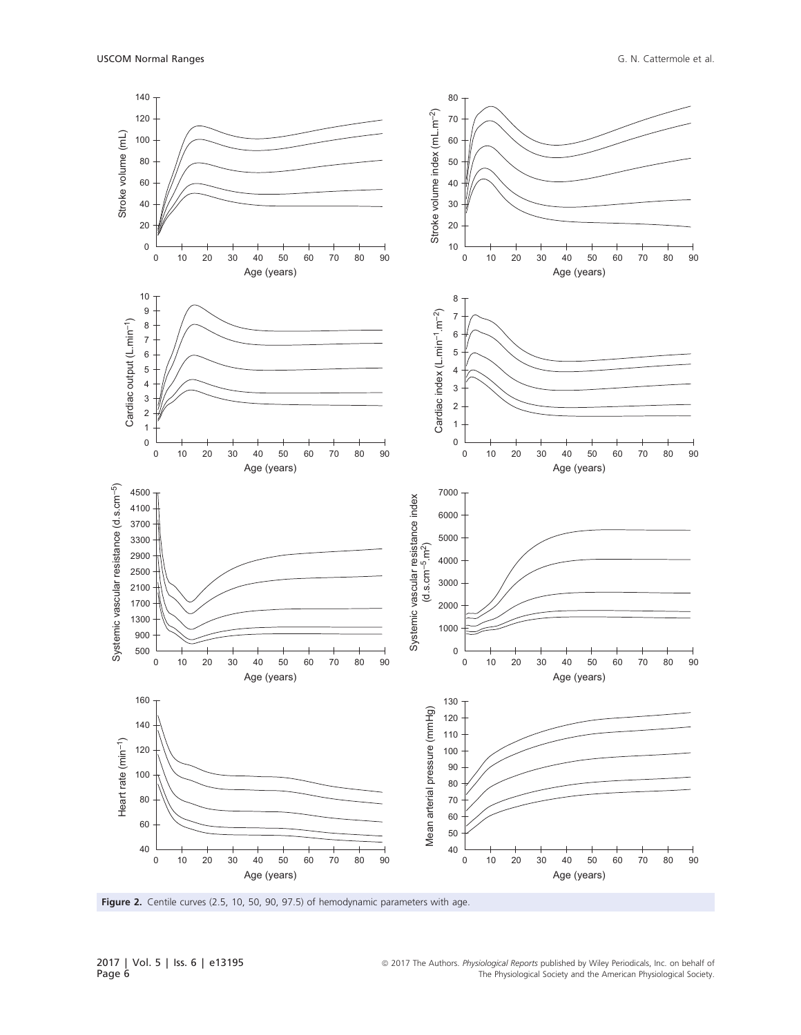

Figure 2. Centile curves (2.5, 10, 50, 90, 97.5) of hemodynamic parameters with age.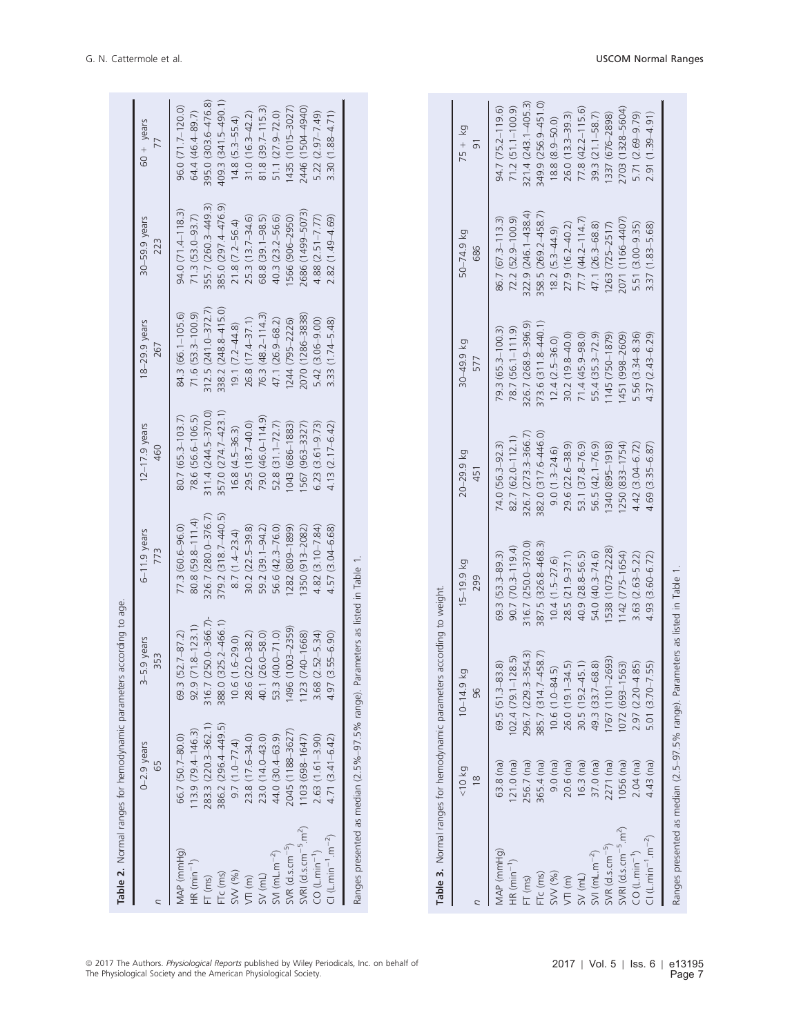|                                                | Table 2. Normal ranges for hemodynamic parameter                                | s according to age.        |                       |                        |                      |                       |                       |
|------------------------------------------------|---------------------------------------------------------------------------------|----------------------------|-----------------------|------------------------|----------------------|-----------------------|-----------------------|
|                                                | $0-2.9$ years<br>65                                                             | -5.9 years<br>353<br>Ψ     | $6-11.9$ years<br>773 | $12-17.9$ years<br>460 | 18-29.9 years<br>267 | 30-59.9 years<br>223  | $60 +$ years<br>77    |
| MAP (mmHq)                                     | 66.7 (50.7-80.0)                                                                | $(52.7 - 87.2)$<br>69.3    | $77.3(60.6 - 96.0)$   | 80.7 (65.3–103.7)      | 84.3 (66.1-105.6)    | $94.0(71.4 - 118.3)$  | 96.0 (71.7-120.0)     |
| $HR(min-1)$                                    | $113.9(79.4 - 146.3)$                                                           | $92.9(71.8 - 123.1)$       | $80.8(59.8 - 111.4)$  | 78.6 (56.6-106.5)      | $71.6$ (53.3-100.9)  | $71.3$ (53.0-93.7)    | 64.4 (46.4-89.7)      |
| $FT$ (ms)                                      | 283.3 (220.3-362.1                                                              | $(250.0 - 366.7)$<br>316.7 | 326.7 (280.0-376.7)   | 311.4 (244.5-370.0)    | 312.5 (241.0-372.7)  | 355.7 (260.3-449.3)   | 395.0 (303.6-476.8)   |
| FTc (ms)                                       | 386.2 (296.4-449.5)                                                             | 388.0 (325.2-466.1)        | 379.2 (318.7-440.5)   | 357.0 (274.7-423.1)    | 338.2 (248.8-415.0)  | 385.0 (297.4-476.9)   | 409.3 (341.5-490.1)   |
| SVV (%)                                        | $9.7(1.0 - 77.4)$                                                               | $(1.6 - 29.0)$<br>10.6     | $8.7(1.4-23.4)$       | $16.8(4.5-36.3)$       | $19.1(7.2 - 44.8)$   | $21.8(7.2 - 56.4)$    | $14.8$ $(5.3 - 55.4)$ |
| $V\Pi(m)$                                      | 23.8 (17.6-34.0)                                                                | $(22.0 - 38.2)$<br>28.6    | $30.2(22.5 - 39.8)$   | 29.5 (18.7-40.0)       | 26.8 (17.4–37.1)     | $25.3(13.7 - 34.6)$   | $31.0(16.3 - 42.2)$   |
| SW(mL)                                         | $23.0(14.0 - 43.0)$                                                             | $(26.0 - 58.0)$<br>40.1    | 59.2 (39.1-94.2)      | 79.0 (46.0-114.9)      | 76.3 (48.2-114.3)    | 68.8 (39.1-98.5)      | 81.8 (39.7-115.3)     |
| $SW(mL.m^{-2})$                                | 44.0 (30.4-63.9)                                                                | $(40.0 - 71.0)$<br>53.3    | 56.6 (42.3-76.0)      | 52.8 (31.1-72.7)       | 47.1 (26.9-68.2)     | 40.3 (23.2-56.6)      | 51.1 (27.9-72.0)      |
| $SVR$ (d.s.cm <sup>-5</sup> )                  | 2045 (1188-3627                                                                 | $(1003 - 2359)$<br>1496    | (6681-608) 2821       | 1043 (686-1883)        | 1244 (795-2226)      | 1566 (906-2950)       | 1435 (1015-3027)      |
| $SWRI$ (d.s.cm $^{-5}$                         | 103 (698-1647)                                                                  | $(740 - 1668)$<br>1123     | 350 (913-2082)        | 567 (963-3327)         | 2070 (1286-3838)     | 2686 (1499-5073)      | 2446 (1504-4940)      |
| $CO (L.min-1)$                                 | $2.63(1.61 - 3.90)$                                                             | $(2.52 - 5.34)$<br>3.68    | $4.82(3.10 - 7.84)$   | $6.23(3.61 - 9.73)$    | 5.42 (3.06-9.00)     | $4.88(2.51 - 7.77)$   | 5.22 (2.97-7.49)      |
| $\Box$ (L.min <sup>-1</sup> .m <sup>-2</sup> ) | $4.71(3.41 - 6.42)$                                                             | $(3.55 - 6.90)$<br>4.97    | $4.57(3.04 - 6.68)$   | $4.13(2.17 - 6.42)$    | $3.33(1.74 - 5.48)$  | $2.82(1.49 - 4.69)$   | $3.30(1.88 - 4.71)$   |
|                                                | Ranges presented as median (2.5%-97.5% range). Parameters as listed in Table 1. |                            |                       |                        |                      |                       |                       |
|                                                |                                                                                 |                            |                       |                        |                      |                       |                       |
|                                                |                                                                                 |                            |                       |                        |                      |                       |                       |
|                                                |                                                                                 |                            |                       |                        |                      |                       |                       |
|                                                | Table 3. Normal ranges for hemodynamic parameters according to weight.          |                            |                       |                        |                      |                       |                       |
|                                                | 59/01                                                                           | Κğ<br>$10 - 14.9$          | $15 - 19.9$ kg        | 20-29.9 kg             | 30-49.9 kg           | 50-74.9 kg            | $75 + kg$             |
| Л                                              | $\frac{8}{10}$                                                                  | 96                         | 299                   | 451                    | 577                  | 686                   | $\overline{5}$        |
| MAP (mmHg)                                     | 63.8 (na)                                                                       | 69.5 (51.3-83.8)           | $69.3(53.3 - 89.3)$   | 74.0 (56.3–92.3)       | $79.3(65.3 - 100.3)$ | $86.7(67.3-113.3)$    | $94.7(75.2 - 119.6)$  |
| $HR (min^{-1})$                                | $121.0$ (na)                                                                    | $102.4(79.1 - 128.5)$      | $90.7(70.3 - 119.4)$  | 82.7 (62.0-112.1)      | $78.7(56.1 - 111.9)$ | 72.2 (52.9-100.9)     | $71.2$ (51.1-100.9)   |
| $FT$ (ms)                                      | 256.7 (na)                                                                      | 296.7 (229.3-354.3)        | 316.7 (250.0-370.0)   | 326.7 (273.3–366.7)    | 326.7 (268.9-396.9)  | 322.9 (246.1-438.4)   | 321.4 (243.1-405.3)   |
| FTc (ms)                                       | 365.4 (na)                                                                      | 385.7 (314.7-458.7)        | 387.5 (326.8-468.3)   | 382.0 (317.6-446.0)    | 373.6 (311.8-440.1)  | 358.5 (269.2-458.7)   | 349.9 (256.9-451.0)   |
| SVV (%)                                        | $9.0$ (na)                                                                      | $10.6(1.0 - 84.5)$         | $10.4(1.5-27.6)$      | $9.0(1.3 - 24.6)$      | $12.4(2.5 - 36.0)$   | $18.2(5.3-44.9)$      | $18.8(8.9 - 50.0)$    |
| $\sqrt{T}$ $(m)$                               | $20.6$ (na)                                                                     | 26.0 (19.1-34.5)           | $28.5(21.9 - 37.1)$   | $29.6(22.6 - 38.9)$    | $30.2(19.8 - 40.0)$  | 27.9 (16.2-40.2)      | $26.0(13.3-39.3)$     |
| $SV$ (mL)                                      | (na)<br>16.3(                                                                   | $(19.2 - 45.1)$<br>30.5(   | $40.9(28.8 - 56.5)$   | 53.1 (37.8-76.9)       | $71.4(45.9 - 98.0)$  | $77.7 (44.2 - 114.7)$ | $77.8(42.2 - 115.6)$  |
| $SW(mL.m^{-2})$                                | $37.0$ (na)                                                                     | 49.3 (33.7-68.8)           | 54.0 (40.3-74.6)      | $56.5(42.1 - 76.9)$    | 55.4 (35.3-72.9)     | 47.1 (26.3-68.8)      | 39.3 (21.1-58.7)      |

2703 (1328–5604)<br>5.71 (2.69–9.79)<br>2.91 (1.39–4.91)

5.51 (3.00-9.35)<br>3.37 (1.83-5.68) 2071 (1166-4407)

5.56 (3.34–8.36)<br>4.37 (2.43–6.29)

 $4.42(3.04 - 6.72)$ <br> $4.69(3.35 - 6.87)$ 

 $3.63 (2.63 - 5.22)$ <br> $4.93 (3.60 - 6.72)$ 

 $2.97$   $(2.20 - 4.85)$ <br>5.01  $(3.70 - 7.55)$ 

 $2.04$  (na) 4.43 (na)

1337 (676-2898)

1263 (725-2517)

1145 (750-1879) 1451 (998-2609)

© 2017 The Authors. *Physiological Reports* published by Wiley Periodicals, Inc. on behalf of<br>The Physiological Society and the American Physiological Society.

 $SNR1$  (d.s.cm<sup>-5</sup>.m<sup>2</sup>)

 $CO(L.min<sup>-1</sup>)$ 

 $SNR$  (d.s.cm<sup> $-5$ </sup>)

 $Cl (L.min^{-1}.m^{-2})$ 

Ranges presented as median (2.5–97.5% range). Parameters as listed in Table 1.

Ranges presented as median (2.5-97.5% range). Parameters as listed in Table 1.

SVR (d.s.cm5) 2271 (na) 1767 (1101–2693) 1538 (1073–2228) 1340 (895–1918) 1145 (750–1879) 1263 (725–2517) 1337 (676–2898) SVRI (d.s.cm5.m2) 1056 (na) 1072 (693–1563) 1142 (775–1654) 1250 (833–1754) 1451 (998–2609) 2071 (1166–4407) 2703 (1328–5604) CO (L.min1) 2.04 (na) 2.97 (2.20–4.85) 3.63 (2.63–5.22) 4.42 (3.04–6.72) 5.56 (3.34–8.36) 5.51 (3.00–9.35) 5.71 (2.69–9.79) CI (L.min<sup>-1</sup>.m<sup>-2</sup>) 4.43 (na) 4.43 (1.60, 1.55) 4.93 (3.60-6.72) 4.69 (3.55–6.87) 4.37 (2.43–6.87) 2.91 (1.83–5.68) 4.69 (1.83–5.68)

1538 (1073-2228)

1767 (1101-2693)

 $2271$  (na)  $1056$   $(na)$ 

1072 (693-1563)

1142 (775-1654)

1340 (895-1918) 1250 (833-1754)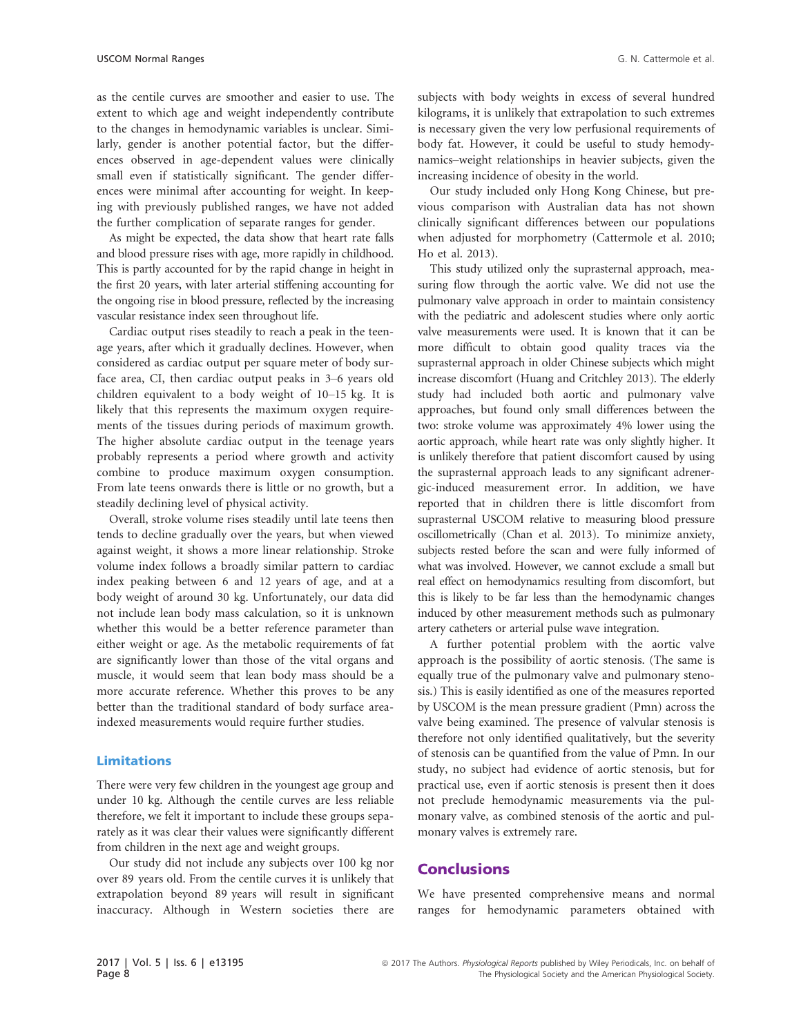as the centile curves are smoother and easier to use. The extent to which age and weight independently contribute to the changes in hemodynamic variables is unclear. Similarly, gender is another potential factor, but the differences observed in age-dependent values were clinically small even if statistically significant. The gender differences were minimal after accounting for weight. In keeping with previously published ranges, we have not added the further complication of separate ranges for gender.

As might be expected, the data show that heart rate falls and blood pressure rises with age, more rapidly in childhood. This is partly accounted for by the rapid change in height in the first 20 years, with later arterial stiffening accounting for the ongoing rise in blood pressure, reflected by the increasing vascular resistance index seen throughout life.

Cardiac output rises steadily to reach a peak in the teenage years, after which it gradually declines. However, when considered as cardiac output per square meter of body surface area, CI, then cardiac output peaks in 3–6 years old children equivalent to a body weight of 10–15 kg. It is likely that this represents the maximum oxygen requirements of the tissues during periods of maximum growth. The higher absolute cardiac output in the teenage years probably represents a period where growth and activity combine to produce maximum oxygen consumption. From late teens onwards there is little or no growth, but a steadily declining level of physical activity.

Overall, stroke volume rises steadily until late teens then tends to decline gradually over the years, but when viewed against weight, it shows a more linear relationship. Stroke volume index follows a broadly similar pattern to cardiac index peaking between 6 and 12 years of age, and at a body weight of around 30 kg. Unfortunately, our data did not include lean body mass calculation, so it is unknown whether this would be a better reference parameter than either weight or age. As the metabolic requirements of fat are significantly lower than those of the vital organs and muscle, it would seem that lean body mass should be a more accurate reference. Whether this proves to be any better than the traditional standard of body surface areaindexed measurements would require further studies.

#### Limitations

There were very few children in the youngest age group and under 10 kg. Although the centile curves are less reliable therefore, we felt it important to include these groups separately as it was clear their values were significantly different from children in the next age and weight groups.

Our study did not include any subjects over 100 kg nor over 89 years old. From the centile curves it is unlikely that extrapolation beyond 89 years will result in significant inaccuracy. Although in Western societies there are subjects with body weights in excess of several hundred kilograms, it is unlikely that extrapolation to such extremes is necessary given the very low perfusional requirements of body fat. However, it could be useful to study hemodynamics–weight relationships in heavier subjects, given the increasing incidence of obesity in the world.

Our study included only Hong Kong Chinese, but previous comparison with Australian data has not shown clinically significant differences between our populations when adjusted for morphometry (Cattermole et al. 2010; Ho et al. 2013).

This study utilized only the suprasternal approach, measuring flow through the aortic valve. We did not use the pulmonary valve approach in order to maintain consistency with the pediatric and adolescent studies where only aortic valve measurements were used. It is known that it can be more difficult to obtain good quality traces via the suprasternal approach in older Chinese subjects which might increase discomfort (Huang and Critchley 2013). The elderly study had included both aortic and pulmonary valve approaches, but found only small differences between the two: stroke volume was approximately 4% lower using the aortic approach, while heart rate was only slightly higher. It is unlikely therefore that patient discomfort caused by using the suprasternal approach leads to any significant adrenergic-induced measurement error. In addition, we have reported that in children there is little discomfort from suprasternal USCOM relative to measuring blood pressure oscillometrically (Chan et al. 2013). To minimize anxiety, subjects rested before the scan and were fully informed of what was involved. However, we cannot exclude a small but real effect on hemodynamics resulting from discomfort, but this is likely to be far less than the hemodynamic changes induced by other measurement methods such as pulmonary artery catheters or arterial pulse wave integration.

A further potential problem with the aortic valve approach is the possibility of aortic stenosis. (The same is equally true of the pulmonary valve and pulmonary stenosis.) This is easily identified as one of the measures reported by USCOM is the mean pressure gradient (Pmn) across the valve being examined. The presence of valvular stenosis is therefore not only identified qualitatively, but the severity of stenosis can be quantified from the value of Pmn. In our study, no subject had evidence of aortic stenosis, but for practical use, even if aortic stenosis is present then it does not preclude hemodynamic measurements via the pulmonary valve, as combined stenosis of the aortic and pulmonary valves is extremely rare.

#### **Conclusions**

We have presented comprehensive means and normal ranges for hemodynamic parameters obtained with